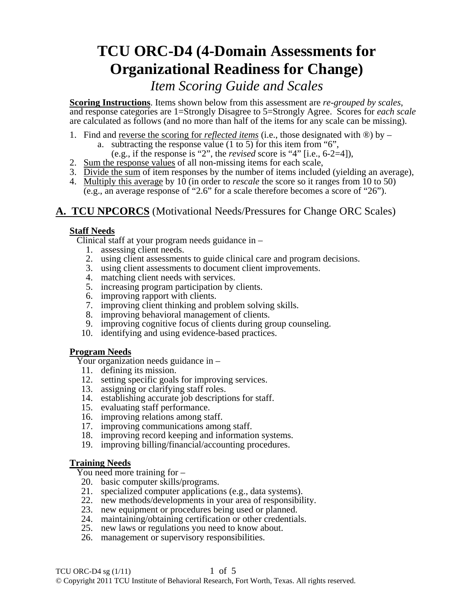# **TCU ORC-D4 (4-Domain Assessments for Organizational Readiness for Change)**

## *Item Scoring Guide and Scales*

**Scoring Instructions**. Items shown below from this assessment are *re-grouped by scales*, and response categories are 1=Strongly Disagree to 5=Strongly Agree. Scores for *each scale* are calculated as follows (and no more than half of the items for any scale can be missing).

- 1. Find and reverse the scoring for *reflected items* (i.e., those designated with ®) by
	- a. subtracting the response value  $(1 \text{ to } 5)$  for this item from "6",
	- (e.g., if the response is "2", the *revised* score is "4" [i.e., 6-2=4]),
- 2. Sum the response values of all non-missing items for each scale,
- 3. Divide the sum of item responses by the number of items included (yielding an average),
- 4. Multiply this average by 10 (in order to *rescale* the score so it ranges from 10 to 50) (e.g., an average response of "2.6" for a scale therefore becomes a score of "26").

### **A. TCU NPCORCS** (Motivational Needs/Pressures for Change ORC Scales)

#### **Staff Needs**

Clinical staff at your program needs guidance in –

- 1. assessing client needs.
- 2. using client assessments to guide clinical care and program decisions.
- 3. using client assessments to document client improvements.
- 4. matching client needs with services.
- 5. increasing program participation by clients.
- 6. improving rapport with clients.
- 7. improving client thinking and problem solving skills.
- 8. improving behavioral management of clients.
- 9. improving cognitive focus of clients during group counseling.
- 10. identifying and using evidence-based practices.

#### **Program Needs**

Your organization needs guidance in –

- 11. defining its mission.
- 12. setting specific goals for improving services.
- 13. assigning or clarifying staff roles.
- 14. establishing accurate job descriptions for staff.
- 15. evaluating staff performance.
- 16. improving relations among staff.
- 17. improving communications among staff.
- 18. improving record keeping and information systems.
- 19. improving billing/financial/accounting procedures.

#### **Training Needs**

You need more training for –

- 20. basic computer skills/programs.
- 21. specialized computer applications (e.g., data systems).
- 22. new methods/developments in your area of responsibility.
- 23. new equipment or procedures being used or planned.
- 24. maintaining/obtaining certification or other credentials.
- 25. new laws or regulations you need to know about.
- 26. management or supervisory responsibilities.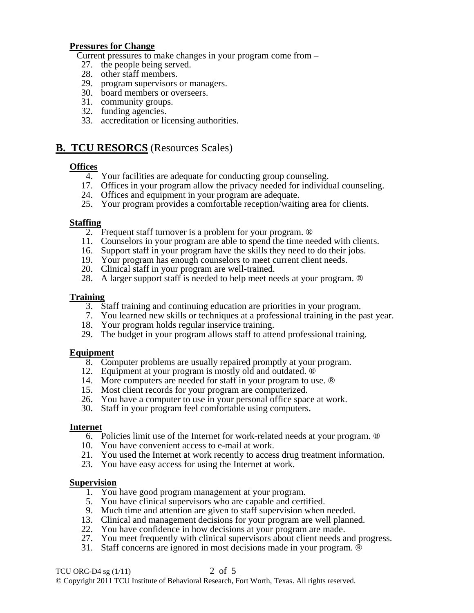#### **Pressures for Change**

Current pressures to make changes in your program come from –

- 27. the people being served.
- 28. other staff members.
- 29. program supervisors or managers.
- 30. board members or overseers.
- 31. community groups.
- 32. funding agencies.
- 33. accreditation or licensing authorities.

#### **B. TCU RESORCS** (Resources Scales)

#### **Offices**

- 4. Your facilities are adequate for conducting group counseling.
- 17. Offices in your program allow the privacy needed for individual counseling.
- 24. Offices and equipment in your program are adequate.
- 25. Your program provides a comfortable reception/waiting area for clients.

#### **Staffing**

- 2. Frequent staff turnover is a problem for your program. ®
- 11. Counselors in your program are able to spend the time needed with clients.
- 16. Support staff in your program have the skills they need to do their jobs.
- 19. Your program has enough counselors to meet current client needs.
- 20. Clinical staff in your program are well-trained.
- 28. A larger support staff is needed to help meet needs at your program. ®

#### **Training**

- 3. Staff training and continuing education are priorities in your program.
- 7. You learned new skills or techniques at a professional training in the past year.
- 18. Your program holds regular inservice training.
- 29. The budget in your program allows staff to attend professional training.

#### **Equipment**

- 8. Computer problems are usually repaired promptly at your program.
- 12. Equipment at your program is mostly old and outdated. ®
- 14. More computers are needed for staff in your program to use. ®
- 15. Most client records for your program are computerized.
- 26. You have a computer to use in your personal office space at work.
- 30. Staff in your program feel comfortable using computers.

#### **Internet**

- 6. Policies limit use of the Internet for work-related needs at your program. ®
- 10. You have convenient access to e-mail at work.
- 21. You used the Internet at work recently to access drug treatment information.
- 23. You have easy access for using the Internet at work.

#### **Supervision**

- 1. You have good program management at your program.
- 5. You have clinical supervisors who are capable and certified.
- 9. Much time and attention are given to staff supervision when needed.
- 13. Clinical and management decisions for your program are well planned.
- 22. You have confidence in how decisions at your program are made.
- 27. You meet frequently with clinical supervisors about client needs and progress.
- 31. Staff concerns are ignored in most decisions made in your program. ®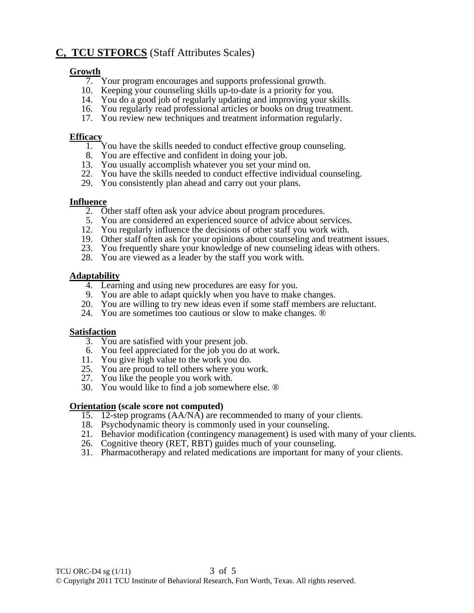## **C, TCU STFORCS** (Staff Attributes Scales)

#### **Growth**

- 7. Your program encourages and supports professional growth.
- 10. Keeping your counseling skills up-to-date is a priority for you.
- 14. You do a good job of regularly updating and improving your skills.
- 16. You regularly read professional articles or books on drug treatment.
- 17. You review new techniques and treatment information regularly.

#### **Efficacy**

- 1. You have the skills needed to conduct effective group counseling.
- 8. You are effective and confident in doing your job.
	- 13. You usually accomplish whatever you set your mind on.
	- 22. You have the skills needed to conduct effective individual counseling.
	- 29. You consistently plan ahead and carry out your plans.

#### **Influence**

- 2. Other staff often ask your advice about program procedures.
- 5. You are considered an experienced source of advice about services.
- 12. You regularly influence the decisions of other staff you work with.
- 19. Other staff often ask for your opinions about counseling and treatment issues.
- 23. You frequently share your knowledge of new counseling ideas with others.
- 28. You are viewed as a leader by the staff you work with.

#### **Adaptability**

- 4. Learning and using new procedures are easy for you.
- 9. You are able to adapt quickly when you have to make changes.
- 20. You are willing to try new ideas even if some staff members are reluctant.
- 24. You are sometimes too cautious or slow to make changes. ®

#### **Satisfaction**

- 3. You are satisfied with your present job.
- 6. You feel appreciated for the job you do at work.
- 11. You give high value to the work you do.
- 25. You are proud to tell others where you work.
- 27. You like the people you work with.
- 30. You would like to find a job somewhere else. ®

#### **Orientation (scale score not computed)**

- 15. 12-step programs  $(AA/N\overline{A})$  are recommended to many of your clients.
- 18. Psychodynamic theory is commonly used in your counseling.
- 21. Behavior modification (contingency management) is used with many of your clients.
- 26. Cognitive theory (RET, RBT) guides much of your counseling.
- 31. Pharmacotherapy and related medications are important for many of your clients.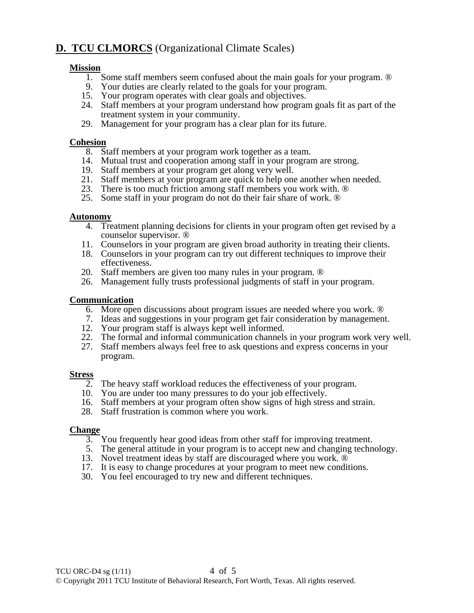## **D. TCU CLMORCS** (Organizational Climate Scales)

#### **Mission**

- 1. Some staff members seem confused about the main goals for your program. ®
- 9. Your duties are clearly related to the goals for your program.
- 15. Your program operates with clear goals and objectives.
- 24. Staff members at your program understand how program goals fit as part of the treatment system in your community.
- 29. Management for your program has a clear plan for its future.

#### **Cohesion**

- 8. Staff members at your program work together as a team.
- 14. Mutual trust and cooperation among staff in your program are strong.
- 19. Staff members at your program get along very well.
- 21. Staff members at your program are quick to help one another when needed.
- 23. There is too much friction among staff members you work with. ®
- 25. Some staff in your program do not do their fair share of work. ®

#### **Autonomy**

- 4. Treatment planning decisions for clients in your program often get revised by a counselor supervisor. ®
- 11. Counselors in your program are given broad authority in treating their clients.
- 18. Counselors in your program can try out different techniques to improve their effectiveness.
- 20. Staff members are given too many rules in your program. ®
- 26. Management fully trusts professional judgments of staff in your program.

#### **Communication**

- 6. More open discussions about program issues are needed where you work. ®
- 7. Ideas and suggestions in your program get fair consideration by management.
- 12. Your program staff is always kept well informed.
- 22. The formal and informal communication channels in your program work very well.
- 27. Staff members always feel free to ask questions and express concerns in your program.

#### **Stress**

- 2. The heavy staff workload reduces the effectiveness of your program.
- 10. You are under too many pressures to do your job effectively.
- 16. Staff members at your program often show signs of high stress and strain.
- 28. Staff frustration is common where you work.

#### **Change**

- 3. You frequently hear good ideas from other staff for improving treatment.
- 5. The general attitude in your program is to accept new and changing technology.
- 13. Novel treatment ideas by staff are discouraged where you work.  $\circledR$
- 17. It is easy to change procedures at your program to meet new conditions.
- 30. You feel encouraged to try new and different techniques.